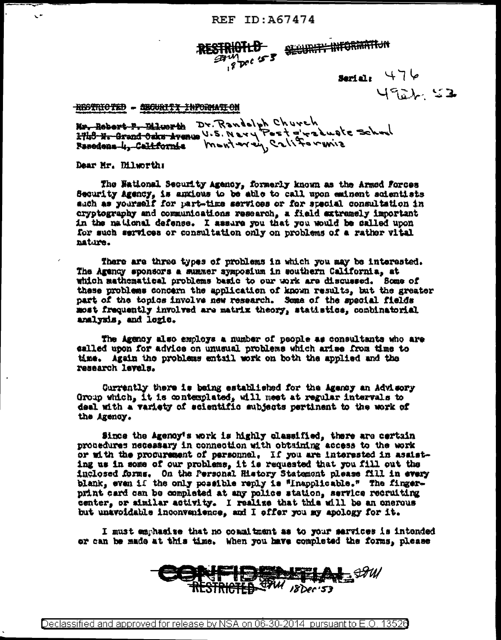SESURIT INFORMATION RESTRICTLE  $b$ <sub>pc</sub>c  $25$ 

## $sqrt{476}$ 4922 52

RESTRICTED - SECURITY INFORMATION

Nr. Robort P. Blworth Dr. Randelph Church<br>2748 N. Grand Oaks Avenue V.S. Nery Pest giraduate School<br>Pasodons 4, California Muntwrey Californina

Dear Mr. Dilworth:

 $\ddot{\phantom{0}}$ 

The National Security Agency, formerly known as the Armed Forces Security Agency, is anxious to be able to call upon eminent scientists such as yourself for part-time services or for special consultation in cryptography and communications research, a field extremely important in the national defense. I assure you that you would be called upon for such services or consultation only on problems of a rather vital nature.

There are three types of problems in which you may be interested. The Agency sponsors a summer symposium in southern California, at which mathematical problems basic to our work are discussed. Some of these problems concern the application of known results, but the greater part of the topics involve new research. Some of the special fields most frequently involved are matrix theory, statistics, combinatorial analysis, and logic.

The Agency also employs a number of people as consultants who are ealled upon for advice on unusual problems which arise from time to time. Again the problems entail work on both the applied and the research levels.

Currently there is being established for the Agency an Advisory Group which, it is contemplated, will meet at regular intervals to deal with a variety of scientific subjects pertinent to the work of the Agency.

Since the Agency's work is highly classified, there are certain procedures necessary in connection with obtaining access to the work or with the procurement of personnel. If you are interested in assisting us in some of our problems, it is requested that you fill out the inclosed forms. On the Personal History Statement please fill in every blank, even if the only possible reply is "Inapplicable." The fingerprint card can be completed at any police station, service recruiting center, or similar activity. I realize that this will be an onerous but unavoidable inconvenience, and I offer you my apology for it.

I must emphasise that no coamitment as to your sarvices is intended or can be made at this time. When you have completed the forms, please

**PHELAL SAW** 铁柱 MA 18Dec-53